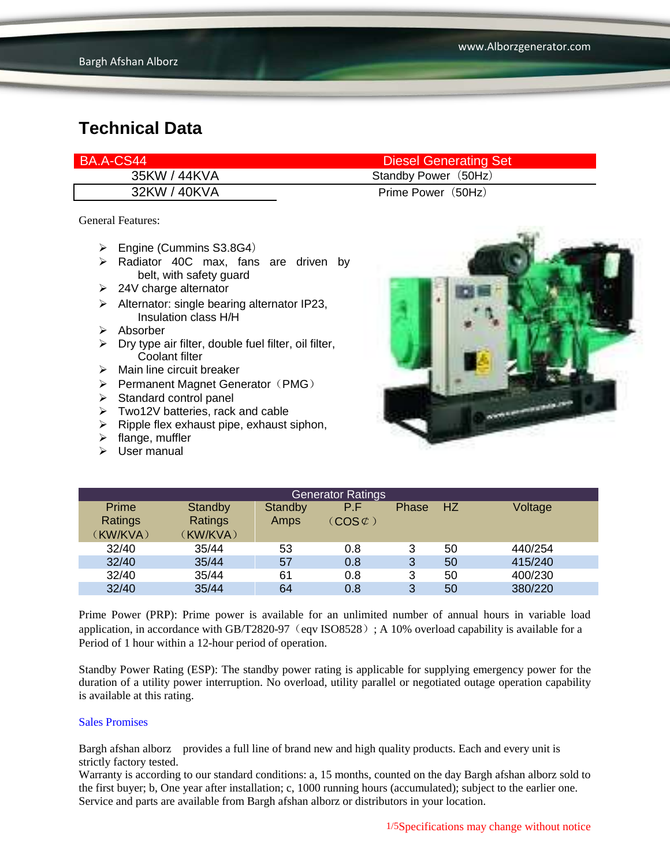| BA.A-CS44    | <b>Diesel Generating Set</b> |
|--------------|------------------------------|
| 35KW / 44KVA | Standby Power (50Hz)         |
| 32KW / 40KVA | Prime Power (50Hz)           |

General Features:

- $\triangleright$  Engine (Cummins S3.8G4)
- $\triangleright$  Radiator 40C max, fans are driven by belt, with safety guard
- $\geq$  24V charge alternator
- $\triangleright$  Alternator: single bearing alternator IP23, Insulation class H/H
- $\triangleright$  Absorber
- $\triangleright$  Dry type air filter, double fuel filter, oil filter, Coolant filter
- $\triangleright$  Main line circuit breaker
- $\triangleright$  Permanent Magnet Generator (PMG)
- $\triangleright$  Standard control panel
- Two12V batteries, rack and cable
- $\triangleright$  Ripple flex exhaust pipe, exhaust siphon,
- $\triangleright$  flange, muffler
- $\triangleright$  User manual



| <b>Generator Ratings</b> |                |         |                             |       |    |         |  |
|--------------------------|----------------|---------|-----------------------------|-------|----|---------|--|
| Prime                    | Standby        | Standby | P.F                         | Phase | HZ | Voltage |  |
| Ratings                  | <b>Ratings</b> | Amps    | $(\mathsf{COS}\mathcal{C})$ |       |    |         |  |
| (KW/KVA)                 | (KW/KVA)       |         |                             |       |    |         |  |
| 32/40                    | 35/44          | 53      | 0.8                         | 3     | 50 | 440/254 |  |
| 32/40                    | 35/44          | 57      | 0.8                         | 3     | 50 | 415/240 |  |
| 32/40                    | 35/44          | 61      | 0.8                         | 3     | 50 | 400/230 |  |
| 32/40                    | 35/44          | 64      | 0.8                         | 3     | 50 | 380/220 |  |

Prime Power (PRP): Prime power is available for an unlimited number of annual hours in variable load application, in accordance with GB/T2820-97 (eqv ISO8528); A 10% overload capability is available for a Period of 1 hour within a 12-hour period of operation.

Standby Power Rating (ESP): The standby power rating is applicable for supplying emergency power for the duration of a utility power interruption. No overload, utility parallel or negotiated outage operation capability is available at this rating.

#### Sales Promises

Bargh afshan alborz provides a full line of brand new and high quality products. Each and every unit is strictly factory tested.

Warranty is according to our standard conditions: a, 15 months, counted on the day Bargh afshan alborz sold to the first buyer; b, One year after installation; c, 1000 running hours (accumulated); subject to the earlier one. Service and parts are available from Bargh afshan alborz or distributors in your location.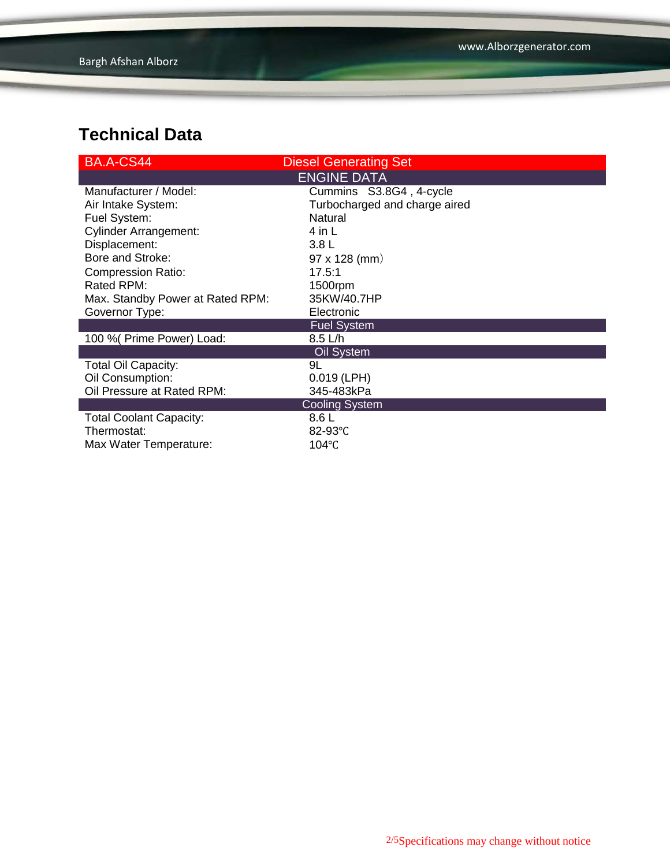| BA.A-CS44                        | <b>Diesel Generating Set</b>  |  |  |  |  |  |
|----------------------------------|-------------------------------|--|--|--|--|--|
| <b>ENGINE DATA</b>               |                               |  |  |  |  |  |
| Manufacturer / Model:            | Cummins S3.8G4, 4-cycle       |  |  |  |  |  |
| Air Intake System:               | Turbocharged and charge aired |  |  |  |  |  |
| Fuel System:                     | Natural                       |  |  |  |  |  |
| <b>Cylinder Arrangement:</b>     | 4 in L                        |  |  |  |  |  |
| Displacement:                    | 3.8 <sub>L</sub>              |  |  |  |  |  |
| Bore and Stroke:                 | $97 \times 128$ (mm)          |  |  |  |  |  |
| <b>Compression Ratio:</b>        | 17.5:1                        |  |  |  |  |  |
| Rated RPM:                       | 1500rpm                       |  |  |  |  |  |
| Max. Standby Power at Rated RPM: | 35KW/40.7HP                   |  |  |  |  |  |
| Governor Type:                   | Electronic                    |  |  |  |  |  |
|                                  | <b>Fuel System</b>            |  |  |  |  |  |
| 100 % (Prime Power) Load:        | $8.5$ L/h                     |  |  |  |  |  |
| Oil System                       |                               |  |  |  |  |  |
| <b>Total Oil Capacity:</b>       | 9L                            |  |  |  |  |  |
| Oil Consumption:                 | $0.019$ (LPH)                 |  |  |  |  |  |
| Oil Pressure at Rated RPM:       | 345-483kPa                    |  |  |  |  |  |
| <b>Cooling System</b>            |                               |  |  |  |  |  |
| <b>Total Coolant Capacity:</b>   | 8.6 L                         |  |  |  |  |  |
| Thermostat:                      | 82-93 $°C$                    |  |  |  |  |  |
| Max Water Temperature:           | 104°C                         |  |  |  |  |  |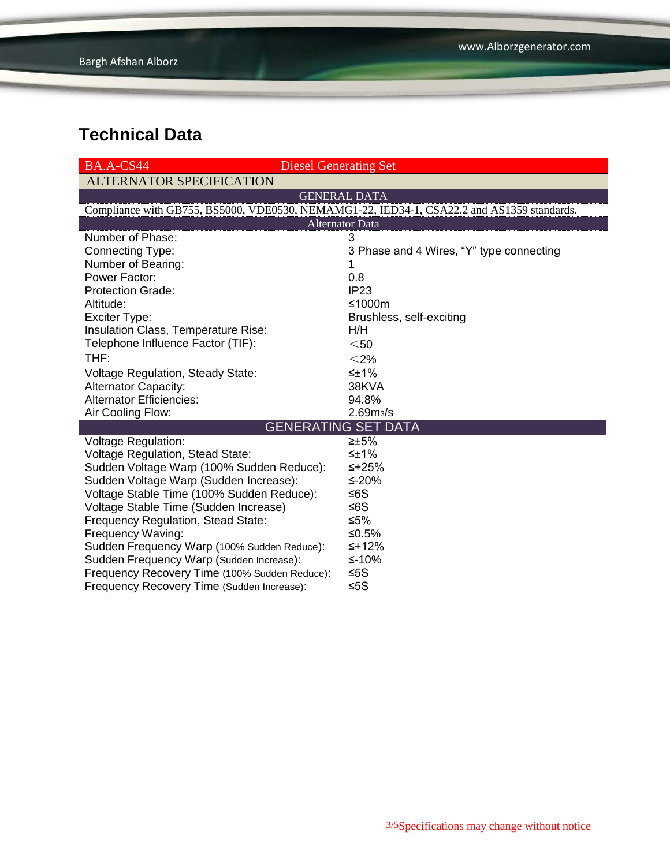| BA.A-CS44                                     | <b>Diesel Generating Set</b>                                                               |  |  |  |  |  |  |
|-----------------------------------------------|--------------------------------------------------------------------------------------------|--|--|--|--|--|--|
| <b>ALTERNATOR SPECIFICATION</b>               |                                                                                            |  |  |  |  |  |  |
| <b>GENERAL DATA</b>                           |                                                                                            |  |  |  |  |  |  |
|                                               | Compliance with GB755, BS5000, VDE0530, NEMAMG1-22, IED34-1, CSA22.2 and AS1359 standards. |  |  |  |  |  |  |
| <b>Alternator Data</b>                        |                                                                                            |  |  |  |  |  |  |
| Number of Phase:                              | 3                                                                                          |  |  |  |  |  |  |
| Connecting Type:                              | 3 Phase and 4 Wires, "Y" type connecting                                                   |  |  |  |  |  |  |
| Number of Bearing:                            | 1                                                                                          |  |  |  |  |  |  |
| Power Factor:                                 | 0.8                                                                                        |  |  |  |  |  |  |
| <b>Protection Grade:</b>                      | IP <sub>23</sub>                                                                           |  |  |  |  |  |  |
| Altitude:                                     | ≤1000m                                                                                     |  |  |  |  |  |  |
| Exciter Type:                                 | Brushless, self-exciting                                                                   |  |  |  |  |  |  |
| Insulation Class, Temperature Rise:           | H/H                                                                                        |  |  |  |  |  |  |
| Telephone Influence Factor (TIF):             | $50$                                                                                       |  |  |  |  |  |  |
| THF:                                          | $<$ 2%                                                                                     |  |  |  |  |  |  |
| <b>Voltage Regulation, Steady State:</b>      | ≤±1%                                                                                       |  |  |  |  |  |  |
| <b>Alternator Capacity:</b>                   | 38KVA                                                                                      |  |  |  |  |  |  |
| <b>Alternator Efficiencies:</b>               | 94.8%                                                                                      |  |  |  |  |  |  |
| Air Cooling Flow:                             | 2.69 <sub>m3</sub> /s                                                                      |  |  |  |  |  |  |
|                                               | <b>GENERATING SET DATA</b>                                                                 |  |  |  |  |  |  |
| <b>Voltage Regulation:</b>                    | $\geq \pm 5\%$                                                                             |  |  |  |  |  |  |
| <b>Voltage Regulation, Stead State:</b>       | ≤±1%                                                                                       |  |  |  |  |  |  |
| Sudden Voltage Warp (100% Sudden Reduce):     | ≤+25%                                                                                      |  |  |  |  |  |  |
| Sudden Voltage Warp (Sudden Increase):        | ≤-20%                                                                                      |  |  |  |  |  |  |
| Voltage Stable Time (100% Sudden Reduce):     | ≤6S                                                                                        |  |  |  |  |  |  |
| Voltage Stable Time (Sudden Increase)         | ≤6S                                                                                        |  |  |  |  |  |  |
| Frequency Regulation, Stead State:            | ≤5%                                                                                        |  |  |  |  |  |  |
| Frequency Waving:                             | ≤0.5%                                                                                      |  |  |  |  |  |  |
| Sudden Frequency Warp (100% Sudden Reduce):   | ≤+12%                                                                                      |  |  |  |  |  |  |
| Sudden Frequency Warp (Sudden Increase):      | ≤-10%                                                                                      |  |  |  |  |  |  |
| Frequency Recovery Time (100% Sudden Reduce): | ≤5S                                                                                        |  |  |  |  |  |  |
| Frequency Recovery Time (Sudden Increase):    | ≤5 $S$                                                                                     |  |  |  |  |  |  |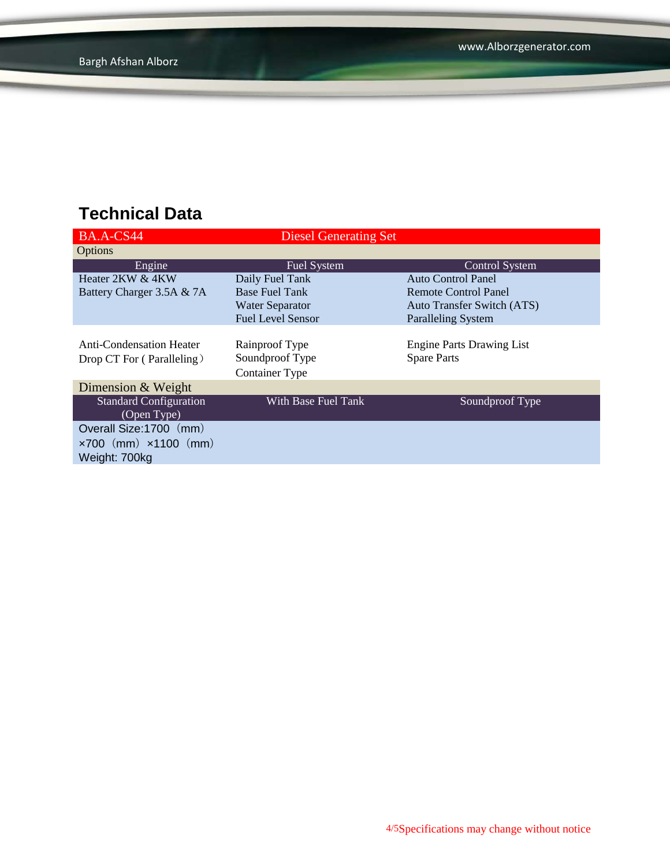| BA.A-CS44                            | <b>Diesel Generating Set</b> |                                   |  |  |
|--------------------------------------|------------------------------|-----------------------------------|--|--|
| Options                              |                              |                                   |  |  |
| Engine                               | <b>Fuel System</b>           | <b>Control System</b>             |  |  |
| Heater 2KW & 4KW                     | Daily Fuel Tank              | Auto Control Panel                |  |  |
| Battery Charger 3.5A & 7A            | <b>Base Fuel Tank</b>        | Remote Control Panel              |  |  |
|                                      | <b>Water Separator</b>       | <b>Auto Transfer Switch (ATS)</b> |  |  |
|                                      | <b>Fuel Level Sensor</b>     | <b>Paralleling System</b>         |  |  |
|                                      |                              |                                   |  |  |
| <b>Anti-Condensation Heater</b>      | Rainproof Type               | <b>Engine Parts Drawing List</b>  |  |  |
| Drop CT For (Paralleling)            | Soundproof Type              | <b>Spare Parts</b>                |  |  |
|                                      | <b>Container Type</b>        |                                   |  |  |
| Dimension & Weight                   |                              |                                   |  |  |
| <b>Standard Configuration</b>        | With Base Fuel Tank          | Soundproof Type                   |  |  |
| (Open Type)                          |                              |                                   |  |  |
| Overall Size: 1700 (mm)              |                              |                                   |  |  |
| $\times 700$ (mm) $\times 1100$ (mm) |                              |                                   |  |  |
| Weight: 700kg                        |                              |                                   |  |  |
|                                      |                              |                                   |  |  |